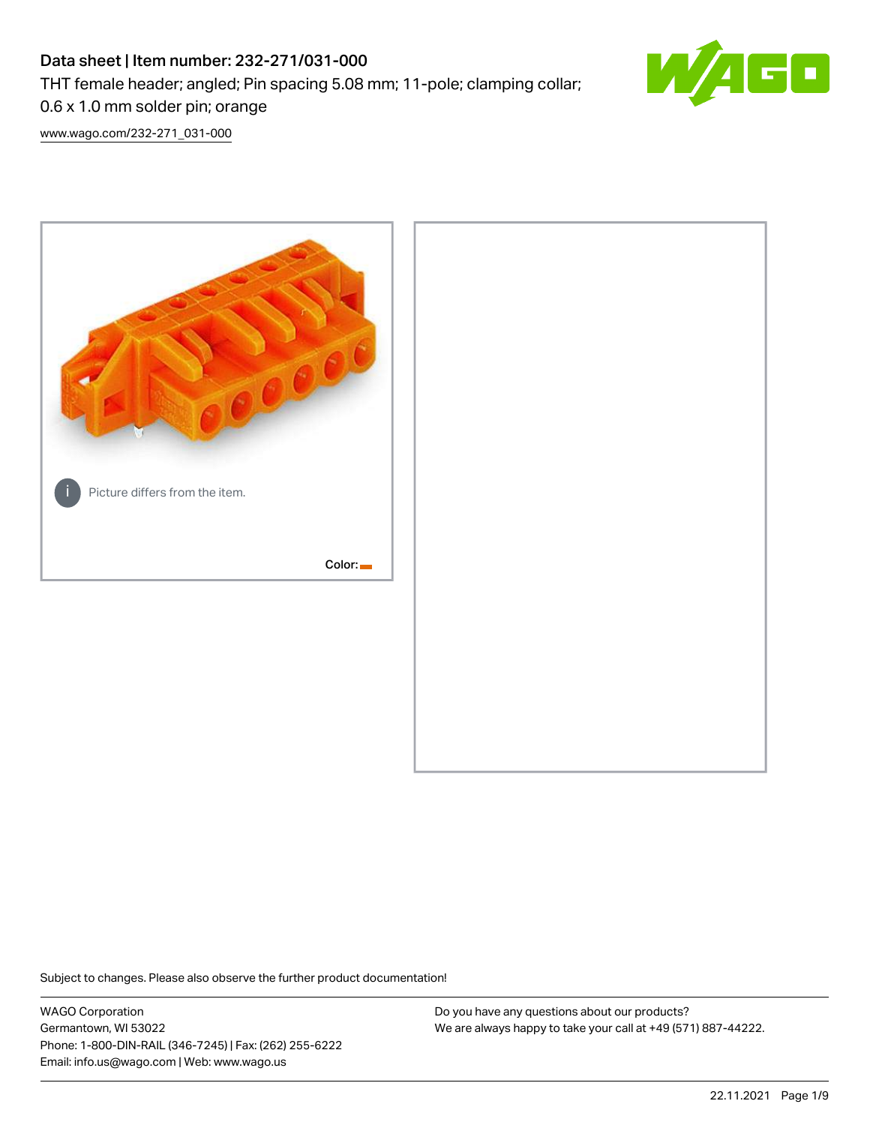# Data sheet | Item number: 232-271/031-000 THT female header; angled; Pin spacing 5.08 mm; 11-pole; clamping collar; 0.6 x 1.0 mm solder pin; orange



[www.wago.com/232-271\\_031-000](http://www.wago.com/232-271_031-000)



Subject to changes. Please also observe the further product documentation!

WAGO Corporation Germantown, WI 53022 Phone: 1-800-DIN-RAIL (346-7245) | Fax: (262) 255-6222 Email: info.us@wago.com | Web: www.wago.us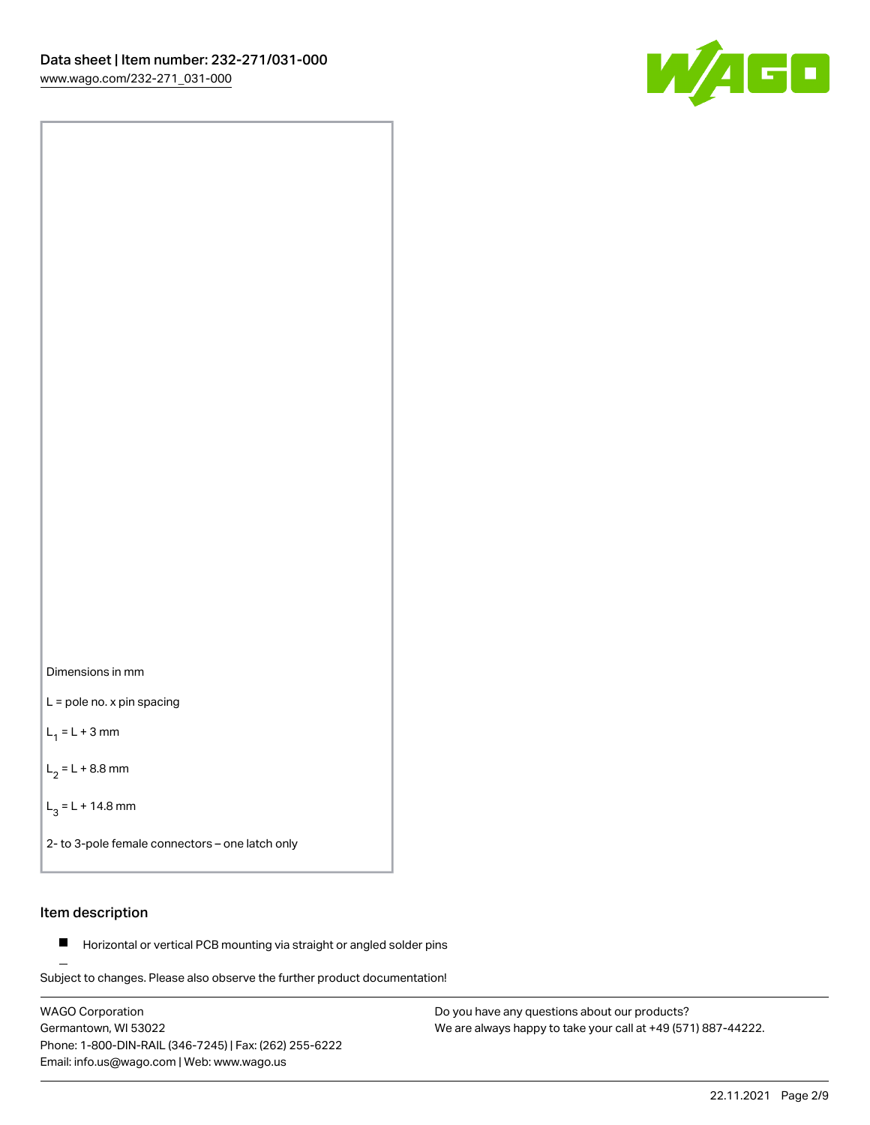

Dimensions in mm

L = pole no. x pin spacing

 $L_1 = L + 3$  mm

 $L_2 = L + 8.8$  mm

 $L_3 = L + 14.8$  mm

2- to 3-pole female connectors – one latch only

## Item description

**Horizontal or vertical PCB mounting via straight or angled solder pins** 

Subject to changes. Please also observe the further product documentation! For board-to-board and board-to-wire connections

WAGO Corporation Germantown, WI 53022 Phone: 1-800-DIN-RAIL (346-7245) | Fax: (262) 255-6222 Email: info.us@wago.com | Web: www.wago.us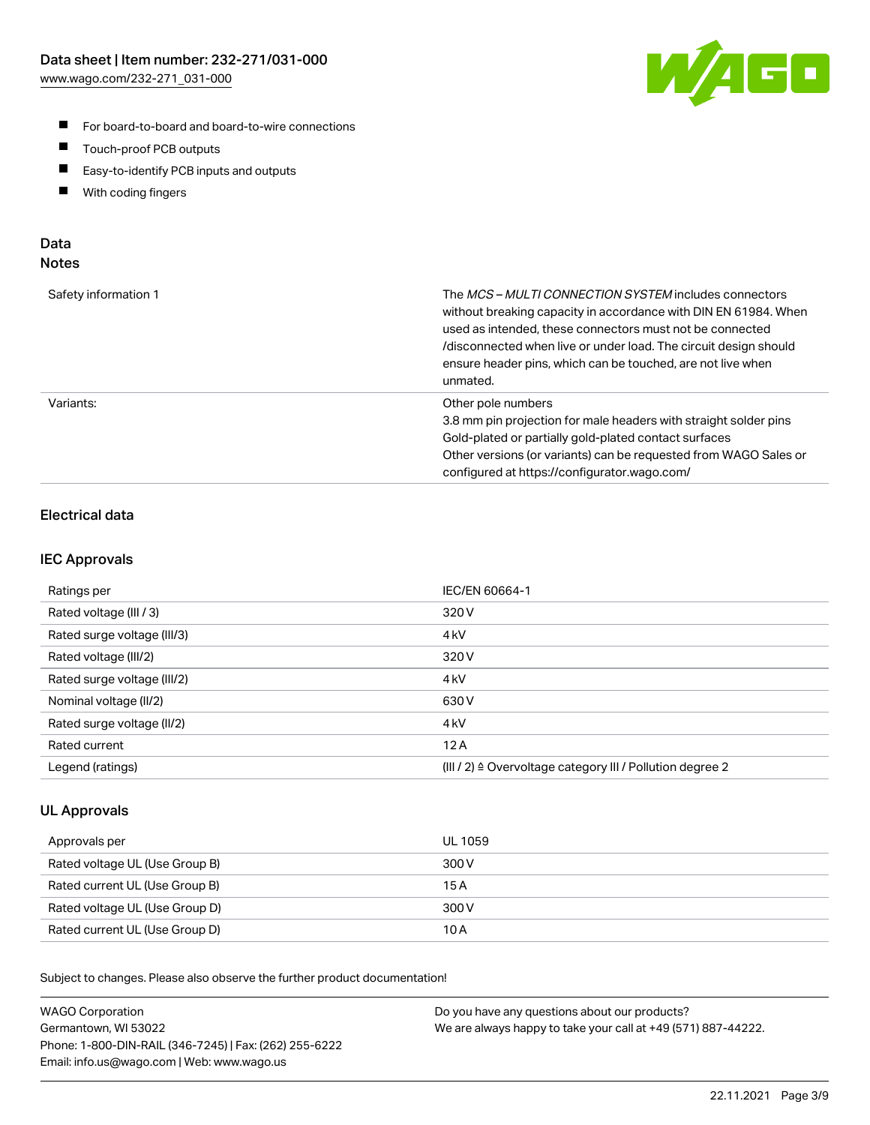

- For board-to-board and board-to-wire connections
- $\blacksquare$ Touch-proof PCB outputs
- $\blacksquare$ Easy-to-identify PCB inputs and outputs
- $\blacksquare$ With coding fingers

### Data **Notes**

| Safety information 1 | The <i>MCS – MULTI CONNECTION SYSTEM</i> includes connectors<br>without breaking capacity in accordance with DIN EN 61984. When<br>used as intended, these connectors must not be connected<br>/disconnected when live or under load. The circuit design should<br>ensure header pins, which can be touched, are not live when<br>unmated. |
|----------------------|--------------------------------------------------------------------------------------------------------------------------------------------------------------------------------------------------------------------------------------------------------------------------------------------------------------------------------------------|
| Variants:            | Other pole numbers<br>3.8 mm pin projection for male headers with straight solder pins<br>Gold-plated or partially gold-plated contact surfaces<br>Other versions (or variants) can be requested from WAGO Sales or<br>configured at https://configurator.wago.com/                                                                        |

# Electrical data

### IEC Approvals

| Ratings per                 | IEC/EN 60664-1                                                        |
|-----------------------------|-----------------------------------------------------------------------|
| Rated voltage (III / 3)     | 320 V                                                                 |
| Rated surge voltage (III/3) | 4 <sub>k</sub> V                                                      |
| Rated voltage (III/2)       | 320 V                                                                 |
| Rated surge voltage (III/2) | 4 <sub>k</sub> V                                                      |
| Nominal voltage (II/2)      | 630 V                                                                 |
| Rated surge voltage (II/2)  | 4 <sub>kV</sub>                                                       |
| Rated current               | 12A                                                                   |
| Legend (ratings)            | $(III / 2)$ $\triangle$ Overvoltage category III / Pollution degree 2 |

### UL Approvals

| Approvals per                  | UL 1059 |
|--------------------------------|---------|
| Rated voltage UL (Use Group B) | 300 V   |
| Rated current UL (Use Group B) | 15 A    |
| Rated voltage UL (Use Group D) | 300 V   |
| Rated current UL (Use Group D) | 10 A    |

Subject to changes. Please also observe the further product documentation!

| <b>WAGO Corporation</b>                                | Do you have any questions about our products?                 |
|--------------------------------------------------------|---------------------------------------------------------------|
| Germantown, WI 53022                                   | We are always happy to take your call at +49 (571) 887-44222. |
| Phone: 1-800-DIN-RAIL (346-7245)   Fax: (262) 255-6222 |                                                               |
| Email: info.us@wago.com   Web: www.wago.us             |                                                               |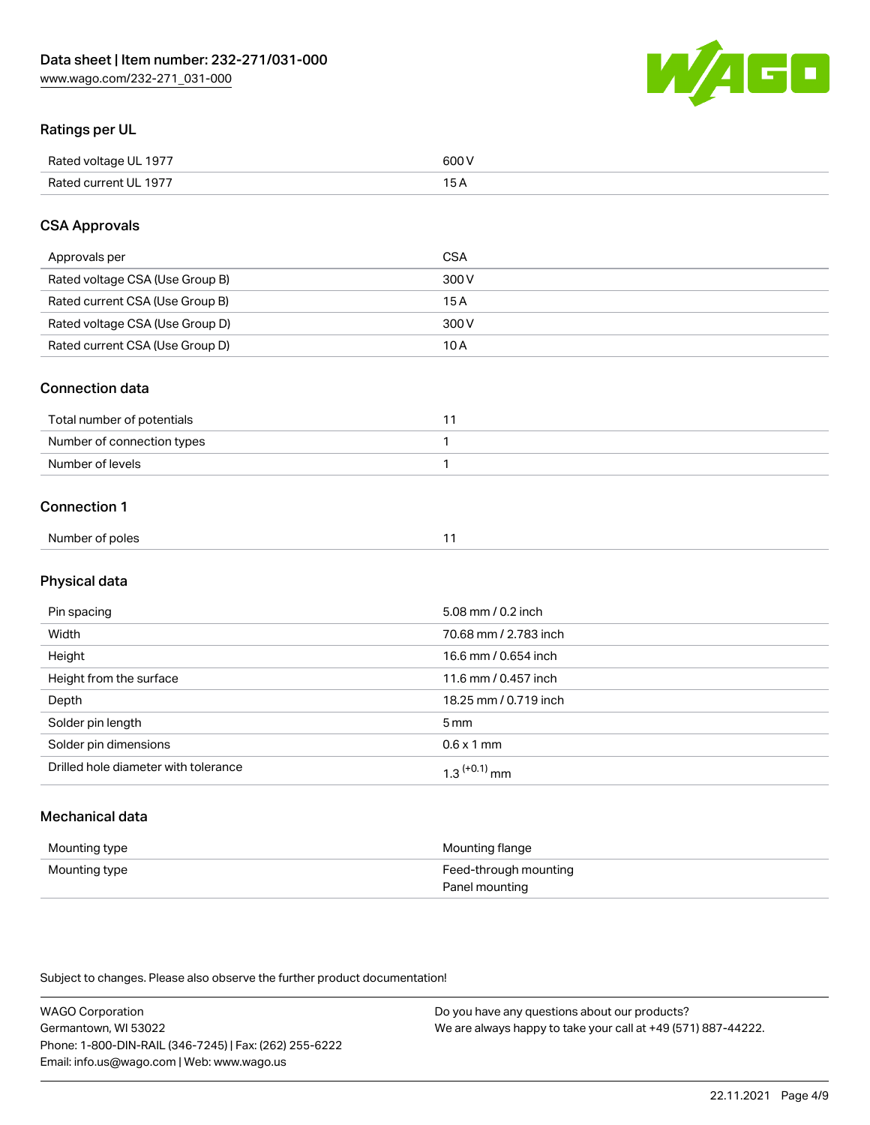

# Ratings per UL

| Rated voltage UL 1977 | soo v<br>วบบ<br>. |
|-----------------------|-------------------|
| Rated current UL 1977 | --                |
|                       | . J <i>r</i>      |

## CSA Approvals

| Approvals per                   | CSA   |
|---------------------------------|-------|
| Rated voltage CSA (Use Group B) | 300 V |
| Rated current CSA (Use Group B) | 15 A  |
| Rated voltage CSA (Use Group D) | 300 V |
| Rated current CSA (Use Group D) | 10 A  |

#### Connection data

| Total number of potentials |  |
|----------------------------|--|
| Number of connection types |  |
| Number of levels           |  |

#### Connection 1

| Number of poles |  |
|-----------------|--|

# Physical data

| Pin spacing                          | 5.08 mm / 0.2 inch         |
|--------------------------------------|----------------------------|
| Width                                | 70.68 mm / 2.783 inch      |
| Height                               | 16.6 mm / 0.654 inch       |
| Height from the surface              | 11.6 mm / 0.457 inch       |
| Depth                                | 18.25 mm / 0.719 inch      |
| Solder pin length                    | $5 \,\mathrm{mm}$          |
| Solder pin dimensions                | $0.6 \times 1$ mm          |
| Drilled hole diameter with tolerance | $1.3$ <sup>(+0.1)</sup> mm |

# Mechanical data

| Mounting type | Mounting flange                         |
|---------------|-----------------------------------------|
| Mounting type | Feed-through mounting<br>Panel mounting |

Subject to changes. Please also observe the further product documentation!

| <b>WAGO Corporation</b>                                | Do you have any questions about our products?                 |
|--------------------------------------------------------|---------------------------------------------------------------|
| Germantown, WI 53022                                   | We are always happy to take your call at +49 (571) 887-44222. |
| Phone: 1-800-DIN-RAIL (346-7245)   Fax: (262) 255-6222 |                                                               |
| Email: info.us@wago.com   Web: www.wago.us             |                                                               |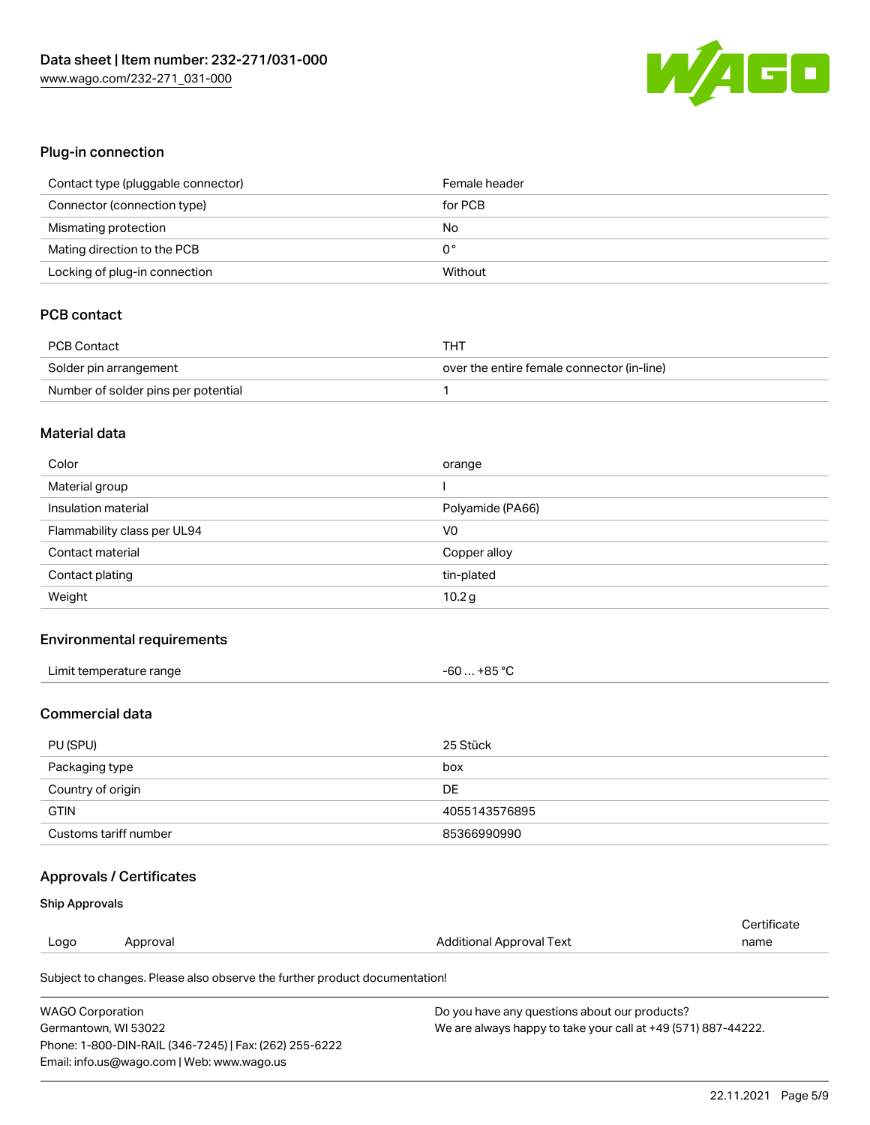

## Plug-in connection

| Contact type (pluggable connector) | Female header |
|------------------------------------|---------------|
| Connector (connection type)        | for PCB       |
| Mismating protection               | No            |
| Mating direction to the PCB        | 0°            |
| Locking of plug-in connection      | Without       |

# PCB contact

| PCB Contact                         | тнт                                        |
|-------------------------------------|--------------------------------------------|
| Solder pin arrangement              | over the entire female connector (in-line) |
| Number of solder pins per potential |                                            |

#### Material data

| Color                       | orange            |
|-----------------------------|-------------------|
| Material group              |                   |
| Insulation material         | Polyamide (PA66)  |
| Flammability class per UL94 | V <sub>0</sub>    |
| Contact material            | Copper alloy      |
| Contact plating             | tin-plated        |
| Weight                      | 10.2 <sub>g</sub> |

### Environmental requirements

| Limit temperature range<br>. | +85 °C<br>-60 |  |
|------------------------------|---------------|--|
|------------------------------|---------------|--|

# Commercial data

| PU (SPU)              | 25 Stück      |
|-----------------------|---------------|
| Packaging type        | box           |
| Country of origin     | DE            |
| <b>GTIN</b>           | 4055143576895 |
| Customs tariff number | 85366990990   |

# Approvals / Certificates

#### Ship Approvals

|      |          |                                                                            | Certificate |
|------|----------|----------------------------------------------------------------------------|-------------|
| Logo | Approval | Additional Approval Text                                                   | name        |
|      |          | Subject to changes. Please also observe the further product documentation! |             |

| <b>WAGO Corporation</b>                                | Do you have any questions about our products?                 |
|--------------------------------------------------------|---------------------------------------------------------------|
| Germantown, WI 53022                                   | We are always happy to take your call at +49 (571) 887-44222. |
| Phone: 1-800-DIN-RAIL (346-7245)   Fax: (262) 255-6222 |                                                               |
| Email: info.us@wago.com   Web: www.wago.us             |                                                               |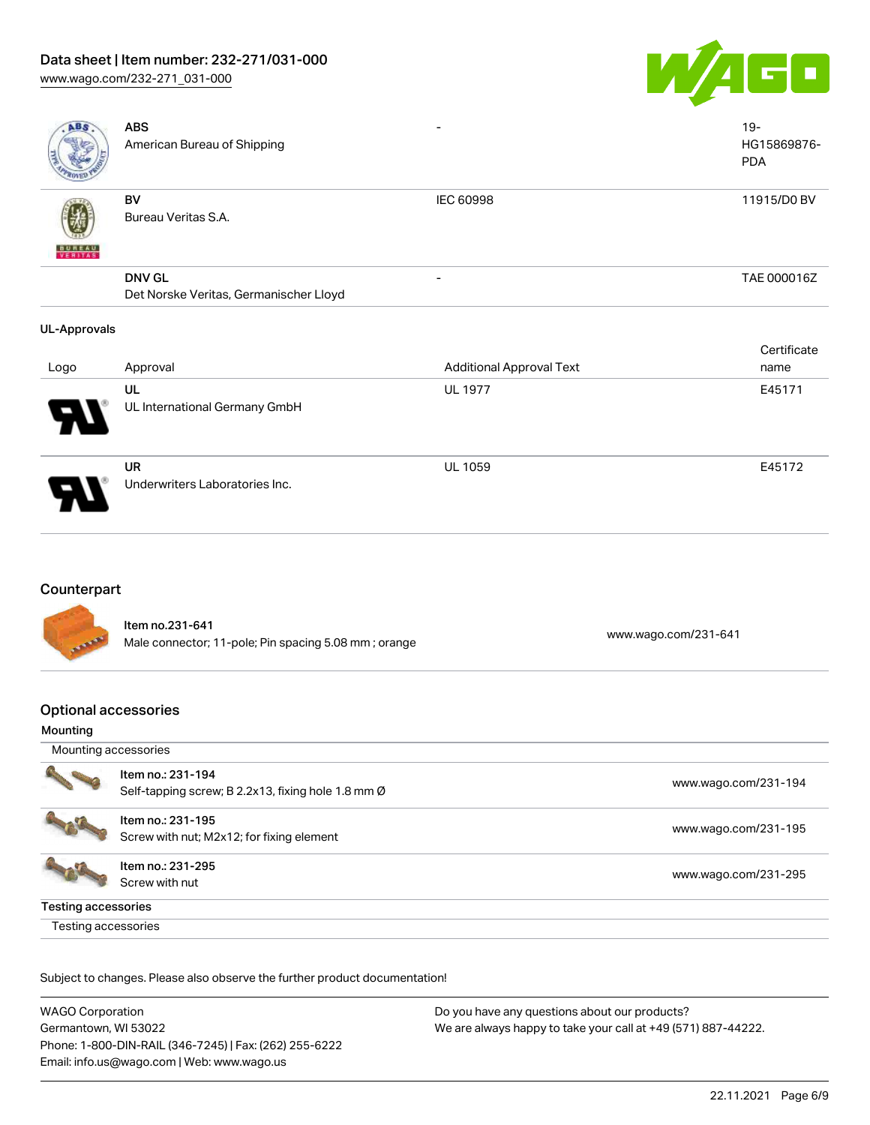# Data sheet | Item number: 232-271/031-000

[www.wago.com/232-271\\_031-000](http://www.wago.com/232-271_031-000)



| <b>ABS</b>          | <b>ABS</b><br>American Bureau of Shipping |                                 | $19 -$<br>HG15869876-<br><b>PDA</b> |
|---------------------|-------------------------------------------|---------------------------------|-------------------------------------|
|                     | BV<br>Bureau Veritas S.A.                 | <b>IEC 60998</b>                | 11915/D0 BV                         |
| <b>BUNEAU</b>       |                                           |                                 |                                     |
|                     | <b>DNV GL</b>                             |                                 | TAE 000016Z                         |
|                     | Det Norske Veritas, Germanischer Lloyd    |                                 |                                     |
| <b>UL-Approvals</b> |                                           |                                 |                                     |
|                     |                                           |                                 | Certificate                         |
| Logo                | Approval                                  | <b>Additional Approval Text</b> | name                                |
|                     | UL                                        | <b>UL 1977</b>                  | E45171                              |
|                     | UL International Germany GmbH             |                                 |                                     |

# Counterpart

Item no.231-641 nem 10.231-041<br>Male connector; 11-pole; Pin spacing 5.08 mm ; orange [www.wago.com/231-641](https://www.wago.com/231-641)

UL 1059 E45172

# Optional accessories

UR

Underwriters Laboratories Inc.

#### Mounting

| Mounting accessories |                                                                         |                      |
|----------------------|-------------------------------------------------------------------------|----------------------|
|                      | Item no.: 231-194<br>Self-tapping screw; B 2.2x13, fixing hole 1.8 mm Ø | www.wago.com/231-194 |
|                      | Item no.: 231-195<br>Screw with nut; M2x12; for fixing element          | www.wago.com/231-195 |
|                      | Item no.: 231-295<br>Screw with nut                                     | www.wago.com/231-295 |
| Testing accessories  |                                                                         |                      |
| Testing accessories  |                                                                         |                      |

Subject to changes. Please also observe the further product documentation!

| <b>WAGO Corporation</b>                                | Do you have any questions about our products?                 |
|--------------------------------------------------------|---------------------------------------------------------------|
| Germantown, WI 53022                                   | We are always happy to take your call at +49 (571) 887-44222. |
| Phone: 1-800-DIN-RAIL (346-7245)   Fax: (262) 255-6222 |                                                               |
| Email: info.us@wago.com   Web: www.wago.us             |                                                               |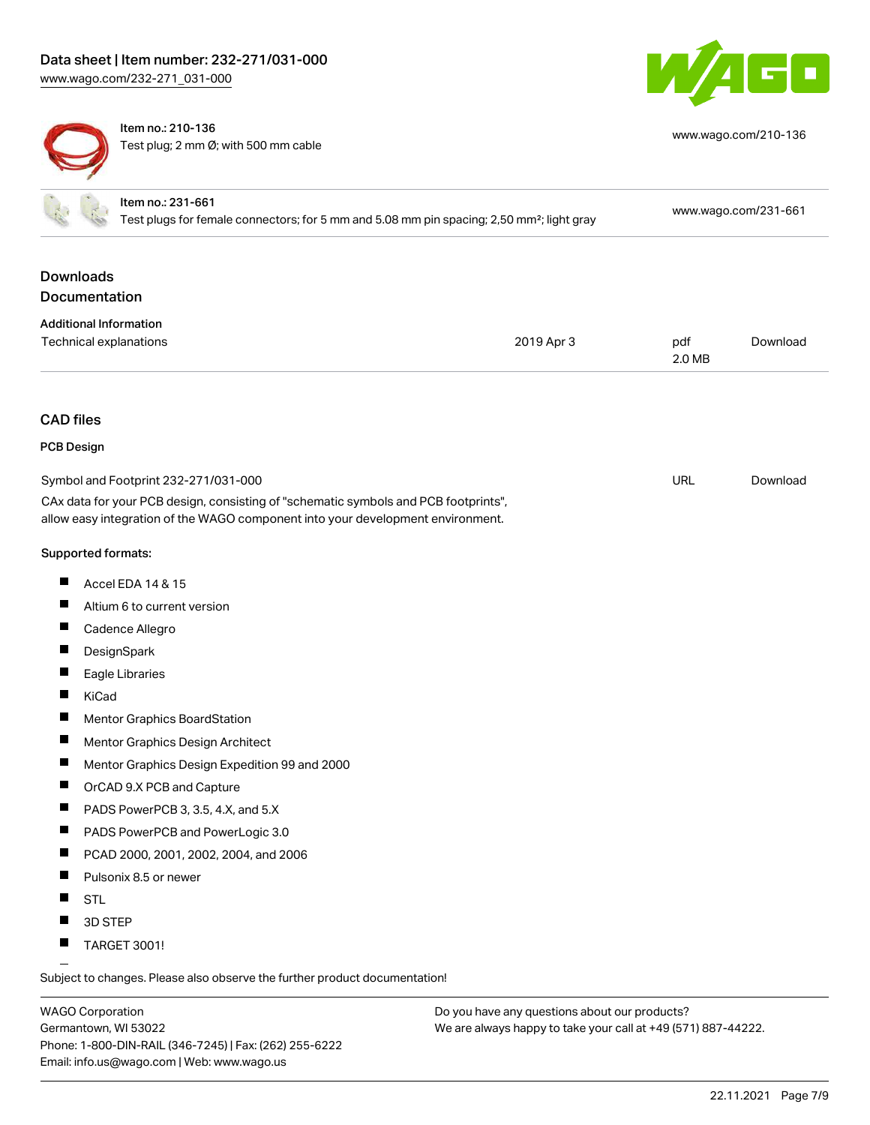

[www.wago.com/210-136](http://www.wago.com/210-136)



Item no.: 210-136 Test plug; 2 mm Ø; with 500 mm cable

|                      | Item no.: 231-661<br>Test plugs for female connectors; for 5 mm and 5.08 mm pin spacing; 2,50 mm <sup>2</sup> ; light gray | www.wago.com/231-661 |
|----------------------|----------------------------------------------------------------------------------------------------------------------------|----------------------|
| <b>Downloads</b>     |                                                                                                                            |                      |
| <b>Documentation</b> |                                                                                                                            |                      |
|                      | <b>Additional Information</b>                                                                                              |                      |

| Technical explanations | 2019 Apr 3 | pdf    | Download |
|------------------------|------------|--------|----------|
|                        |            | 2.0 MB |          |

#### CAD files

| PCB Design |  |
|------------|--|
|------------|--|

| Symbol and Footprint 232-271/031-000 |                                                                                                                                                                        | URL | Download |
|--------------------------------------|------------------------------------------------------------------------------------------------------------------------------------------------------------------------|-----|----------|
|                                      | CAx data for your PCB design, consisting of "schematic symbols and PCB footprints",<br>allow easy integration of the WAGO component into your development environment. |     |          |
|                                      | Supported formats:                                                                                                                                                     |     |          |
| Ш                                    | Accel EDA 14 & 15                                                                                                                                                      |     |          |
| ш                                    | Altium 6 to current version                                                                                                                                            |     |          |
| Ш                                    | Cadence Allegro                                                                                                                                                        |     |          |
|                                      | DesignSpark                                                                                                                                                            |     |          |
| ш                                    | Eagle Libraries                                                                                                                                                        |     |          |
|                                      | KiCad                                                                                                                                                                  |     |          |
| Ш                                    | Mentor Graphics BoardStation                                                                                                                                           |     |          |
| ш                                    | Mentor Graphics Design Architect                                                                                                                                       |     |          |
|                                      | Mentor Graphics Design Expedition 99 and 2000                                                                                                                          |     |          |
| Ш                                    | OrCAD 9.X PCB and Capture                                                                                                                                              |     |          |
|                                      | PADS PowerPCB 3, 3.5, 4.X, and 5.X                                                                                                                                     |     |          |
| H                                    | PADS PowerPCB and PowerLogic 3.0                                                                                                                                       |     |          |
| Ш                                    | PCAD 2000, 2001, 2002, 2004, and 2006                                                                                                                                  |     |          |
| Ш                                    | Pulsonix 8.5 or newer                                                                                                                                                  |     |          |
|                                      | <b>STL</b>                                                                                                                                                             |     |          |
|                                      | 3D STEP                                                                                                                                                                |     |          |
|                                      | <b>TARGET 3001!</b>                                                                                                                                                    |     |          |
|                                      |                                                                                                                                                                        |     |          |

Subject to changes. Please also observe the further product documentation!

WAGO Corporation Germantown, WI 53022 Phone: 1-800-DIN-RAIL (346-7245) | Fax: (262) 255-6222 Email: info.us@wago.com | Web: www.wago.us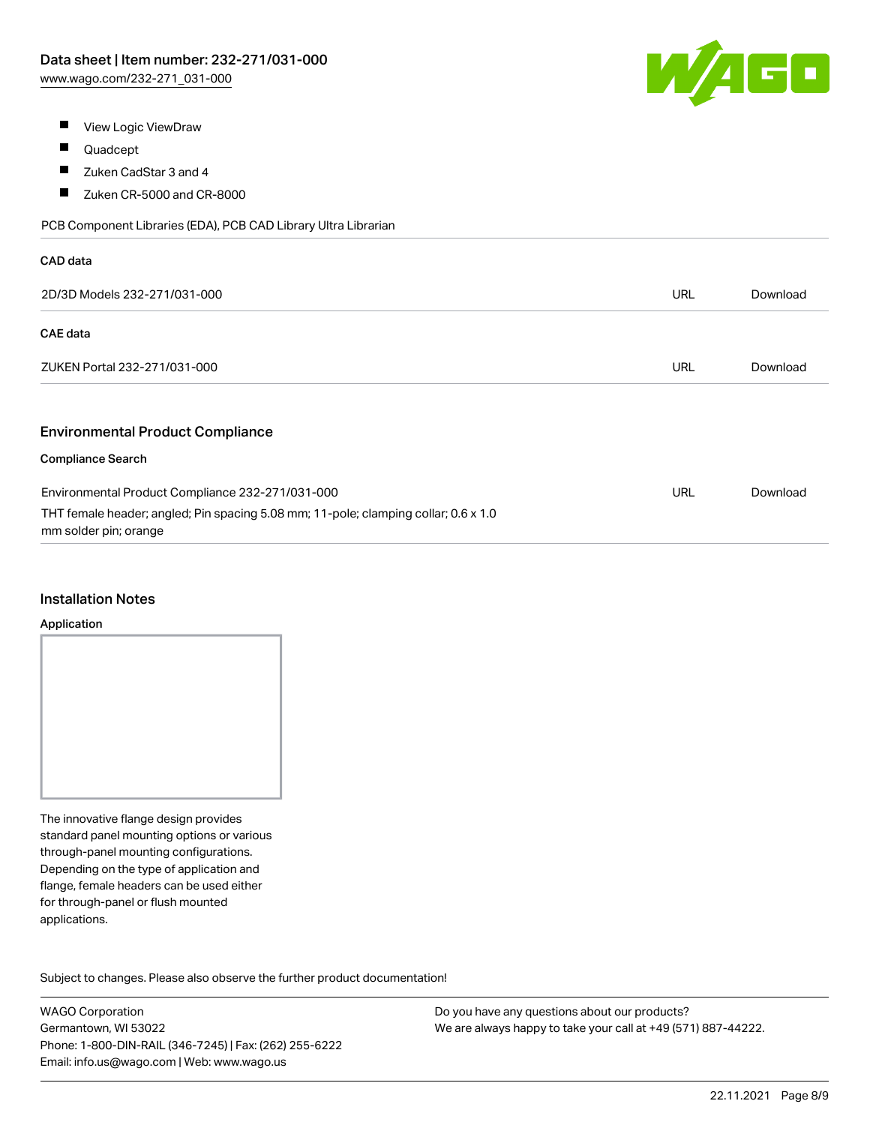

- $\blacksquare$ View Logic ViewDraw
- $\blacksquare$ Quadcept
- $\blacksquare$ Zuken CadStar 3 and 4
- $\blacksquare$ Zuken CR-5000 and CR-8000

PCB Component Libraries (EDA), PCB CAD Library Ultra Librarian

| CAD data                                                                                                     |            |          |
|--------------------------------------------------------------------------------------------------------------|------------|----------|
| 2D/3D Models 232-271/031-000                                                                                 | URL        | Download |
| <b>CAE</b> data                                                                                              |            |          |
| ZUKEN Portal 232-271/031-000                                                                                 | <b>URL</b> | Download |
|                                                                                                              |            |          |
| <b>Environmental Product Compliance</b>                                                                      |            |          |
| <b>Compliance Search</b>                                                                                     |            |          |
| Environmental Product Compliance 232-271/031-000                                                             | <b>URL</b> | Download |
| THT female header; angled; Pin spacing 5.08 mm; 11-pole; clamping collar; 0.6 x 1.0<br>mm solder pin; orange |            |          |

#### Installation Notes

#### Application

The innovative flange design provides standard panel mounting options or various through-panel mounting configurations. Depending on the type of application and flange, female headers can be used either for through-panel or flush mounted applications.

Subject to changes. Please also observe the further product documentation! Product family

WAGO Corporation Germantown, WI 53022 Phone: 1-800-DIN-RAIL (346-7245) | Fax: (262) 255-6222 Email: info.us@wago.com | Web: www.wago.us